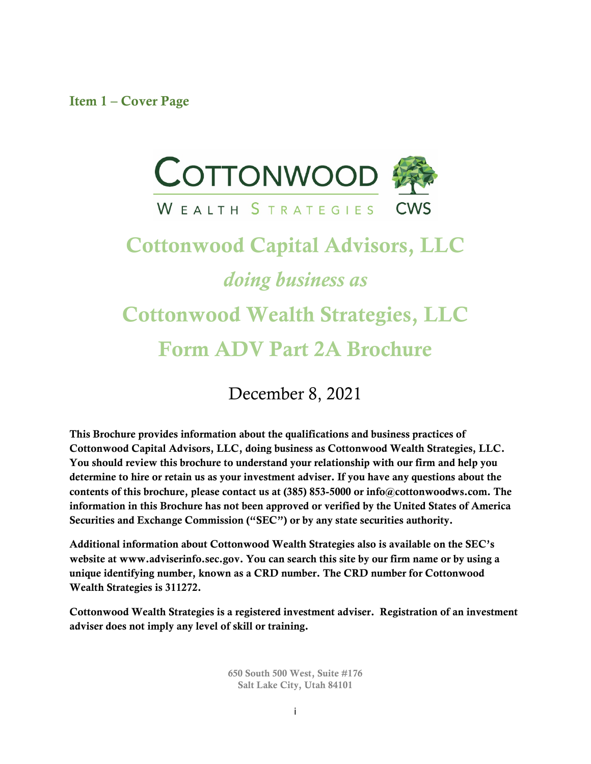<span id="page-0-0"></span>Item 1 – Cover Page



# Cottonwood Capital Advisors, LLC *doing business as* Cottonwood Wealth Strategies, LLC Form ADV Part 2A Brochure

December 8, 2021

This Brochure provides information about the qualifications and business practices of Cottonwood Capital Advisors, LLC, doing business as Cottonwood Wealth Strategies, LLC. You should review this brochure to understand your relationship with our firm and help you determine to hire or retain us as your investment adviser. If you have any questions about the contents of this brochure, please contact us at (385) 853-5000 or info@cottonwoodws.com. The information in this Brochure has not been approved or verified by the United States of America Securities and Exchange Commission ("SEC") or by any state securities authority.

Additional information about Cottonwood Wealth Strategies also is available on the SEC's website at www.adviserinfo.sec.gov. You can search this site by our firm name or by using a unique identifying number, known as a CRD number. The CRD number for Cottonwood Wealth Strategies is 311272.

Cottonwood Wealth Strategies is a registered investment adviser. Registration of an investment adviser does not imply any level of skill or training.

> 650 South 500 West, Suite #176 Salt Lake City, Utah 84101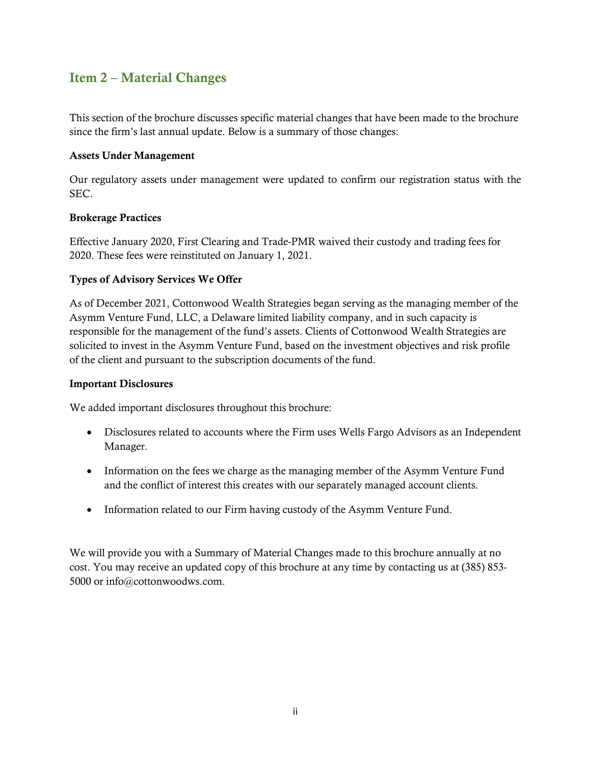## <span id="page-1-0"></span>Item 2 – Material Changes

This section of the brochure discusses specific material changes that have been made to the brochure since the firm's last annual update. Below is a summary of those changes:

#### Assets Under Management

Our regulatory assets under management were updated to confirm our registration status with the SEC.

#### Brokerage Practices

Effective January 2020, First Clearing and Trade-PMR waived their custody and trading fees for 2020. These fees were reinstituted on January 1, 2021.

#### Types of Advisory Services We Offer

As of December 2021, Cottonwood Wealth Strategies began serving as the managing member of the Asymm Venture Fund, LLC, a Delaware limited liability company, and in such capacity is responsible for the management of the fund's assets. Clients of Cottonwood Wealth Strategies are solicited to invest in the Asymm Venture Fund, based on the investment objectives and risk profile of the client and pursuant to the subscription documents of the fund.

#### Important Disclosures

We added important disclosures throughout this brochure:

- Disclosures related to accounts where the Firm uses Wells Fargo Advisors as an Independent Manager.
- Information on the fees we charge as the managing member of the Asymm Venture Fund and the conflict of interest this creates with our separately managed account clients.
- Information related to our Firm having custody of the Asymm Venture Fund.

We will provide you with a Summary of Material Changes made to this brochure annually at no cost. You may receive an updated copy of this brochure at any time by contacting us at (385) 853- 5000 or info@cottonwoodws.com.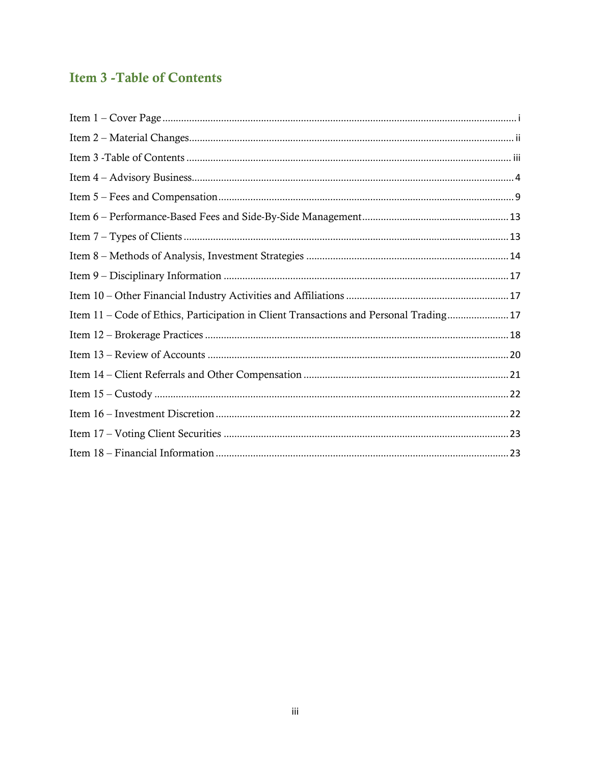# <span id="page-2-0"></span>**Item 3 - Table of Contents**

| Item 11 - Code of Ethics, Participation in Client Transactions and Personal Trading 17 |
|----------------------------------------------------------------------------------------|
|                                                                                        |
|                                                                                        |
|                                                                                        |
|                                                                                        |
|                                                                                        |
|                                                                                        |
|                                                                                        |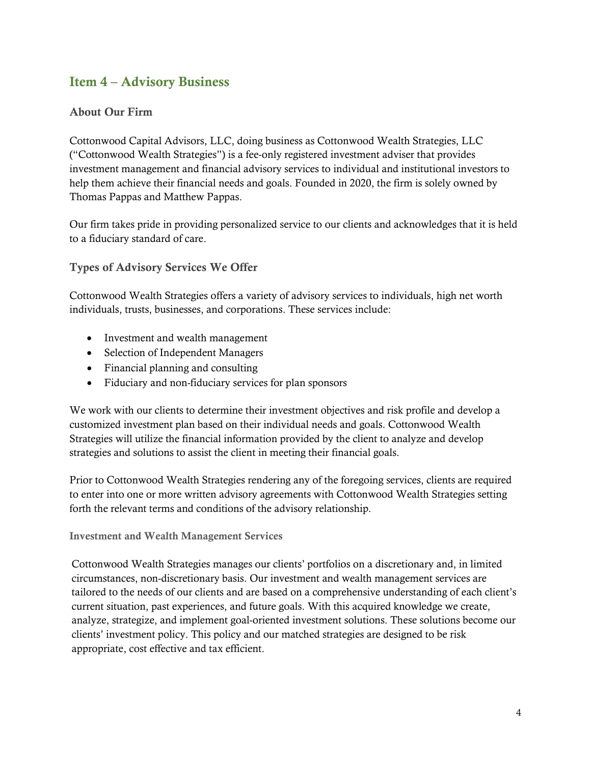## <span id="page-3-0"></span>Item 4 – Advisory Business

## About Our Firm

Cottonwood Capital Advisors, LLC, doing business as Cottonwood Wealth Strategies, LLC ("Cottonwood Wealth Strategies") is a fee-only registered investment adviser that provides investment management and financial advisory services to individual and institutional investors to help them achieve their financial needs and goals. Founded in 2020, the firm is solely owned by Thomas Pappas and Matthew Pappas.

Our firm takes pride in providing personalized service to our clients and acknowledges that it is held to a fiduciary standard of care.

#### Types of Advisory Services We Offer

Cottonwood Wealth Strategies offers a variety of advisory services to individuals, high net worth individuals, trusts, businesses, and corporations. These services include:

- Investment and wealth management
- Selection of Independent Managers
- Financial planning and consulting
- Fiduciary and non-fiduciary services for plan sponsors

We work with our clients to determine their investment objectives and risk profile and develop a customized investment plan based on their individual needs and goals. Cottonwood Wealth Strategies will utilize the financial information provided by the client to analyze and develop strategies and solutions to assist the client in meeting their financial goals.

Prior to Cottonwood Wealth Strategies rendering any of the foregoing services, clients are required to enter into one or more written advisory agreements with Cottonwood Wealth Strategies setting forth the relevant terms and conditions of the advisory relationship.

#### Investment and Wealth Management Services

Cottonwood Wealth Strategies manages our clients' portfolios on a discretionary and, in limited circumstances, non-discretionary basis. Our investment and wealth management services are tailored to the needs of our clients and are based on a comprehensive understanding of each client's current situation, past experiences, and future goals. With this acquired knowledge we create, analyze, strategize, and implement goal-oriented investment solutions. These solutions become our clients' investment policy. This policy and our matched strategies are designed to be risk appropriate, cost effective and tax efficient.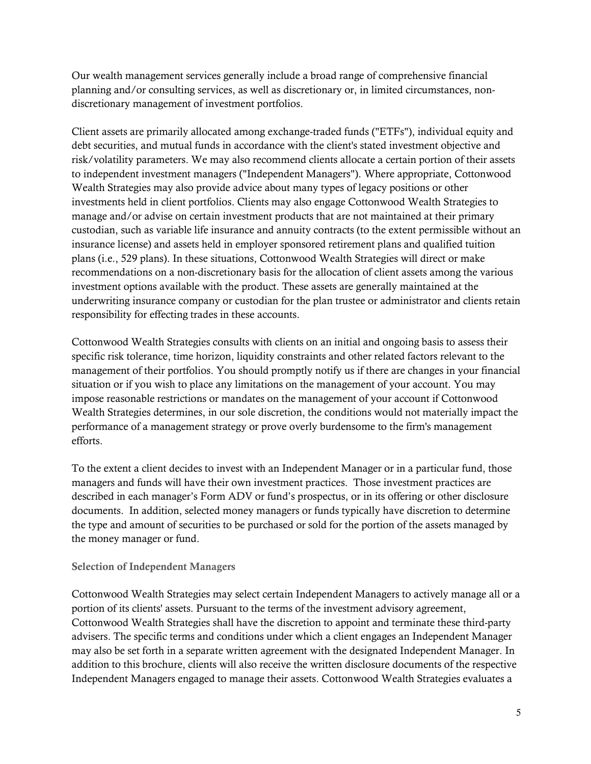Our wealth management services generally include a broad range of comprehensive financial planning and/or consulting services, as well as discretionary or, in limited circumstances, nondiscretionary management of investment portfolios.

Client assets are primarily allocated among exchange-traded funds ("ETFs"), individual equity and debt securities, and mutual funds in accordance with the client's stated investment objective and risk/volatility parameters. We may also recommend clients allocate a certain portion of their assets to independent investment managers ("Independent Managers"). Where appropriate, Cottonwood Wealth Strategies may also provide advice about many types of legacy positions or other investments held in client portfolios. Clients may also engage Cottonwood Wealth Strategies to manage and/or advise on certain investment products that are not maintained at their primary custodian, such as variable life insurance and annuity contracts (to the extent permissible without an insurance license) and assets held in employer sponsored retirement plans and qualified tuition plans (i.e., 529 plans). In these situations, Cottonwood Wealth Strategies will direct or make recommendations on a non-discretionary basis for the allocation of client assets among the various investment options available with the product. These assets are generally maintained at the underwriting insurance company or custodian for the plan trustee or administrator and clients retain responsibility for effecting trades in these accounts.

Cottonwood Wealth Strategies consults with clients on an initial and ongoing basis to assess their specific risk tolerance, time horizon, liquidity constraints and other related factors relevant to the management of their portfolios. You should promptly notify us if there are changes in your financial situation or if you wish to place any limitations on the management of your account. You may impose reasonable restrictions or mandates on the management of your account if Cottonwood Wealth Strategies determines, in our sole discretion, the conditions would not materially impact the performance of a management strategy or prove overly burdensome to the firm's management efforts.

To the extent a client decides to invest with an Independent Manager or in a particular fund, those managers and funds will have their own investment practices. Those investment practices are described in each manager's Form ADV or fund's prospectus, or in its offering or other disclosure documents. In addition, selected money managers or funds typically have discretion to determine the type and amount of securities to be purchased or sold for the portion of the assets managed by the money manager or fund.

#### Selection of Independent Managers

Cottonwood Wealth Strategies may select certain Independent Managers to actively manage all or a portion of its clients' assets. Pursuant to the terms of the investment advisory agreement, Cottonwood Wealth Strategies shall have the discretion to appoint and terminate these third-party advisers. The specific terms and conditions under which a client engages an Independent Manager may also be set forth in a separate written agreement with the designated Independent Manager. In addition to this brochure, clients will also receive the written disclosure documents of the respective Independent Managers engaged to manage their assets. Cottonwood Wealth Strategies evaluates a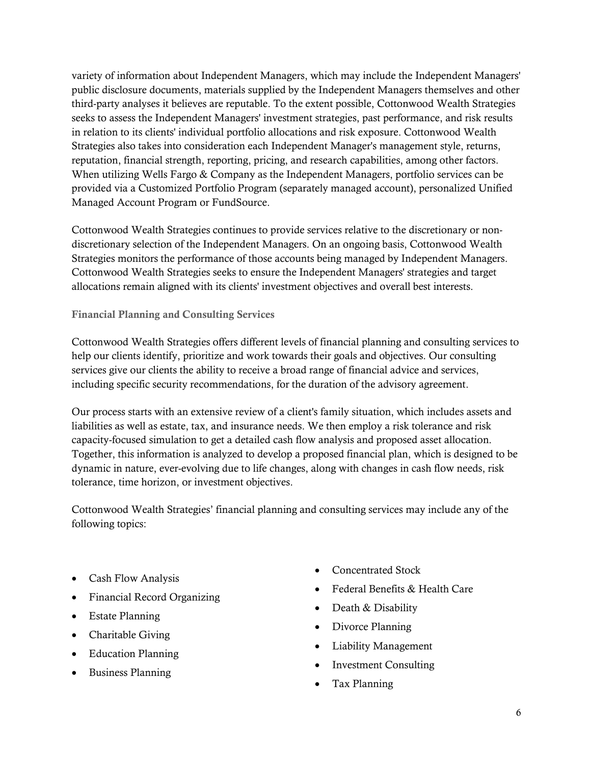variety of information about Independent Managers, which may include the Independent Managers' public disclosure documents, materials supplied by the Independent Managers themselves and other third-party analyses it believes are reputable. To the extent possible, Cottonwood Wealth Strategies seeks to assess the Independent Managers' investment strategies, past performance, and risk results in relation to its clients' individual portfolio allocations and risk exposure. Cottonwood Wealth Strategies also takes into consideration each Independent Manager's management style, returns, reputation, financial strength, reporting, pricing, and research capabilities, among other factors. When utilizing Wells Fargo & Company as the Independent Managers, portfolio services can be provided via a Customized Portfolio Program (separately managed account), personalized Unified Managed Account Program or FundSource.

Cottonwood Wealth Strategies continues to provide services relative to the discretionary or nondiscretionary selection of the Independent Managers. On an ongoing basis, Cottonwood Wealth Strategies monitors the performance of those accounts being managed by Independent Managers. Cottonwood Wealth Strategies seeks to ensure the Independent Managers' strategies and target allocations remain aligned with its clients' investment objectives and overall best interests.

Financial Planning and Consulting Services

Cottonwood Wealth Strategies offers different levels of financial planning and consulting services to help our clients identify, prioritize and work towards their goals and objectives. Our consulting services give our clients the ability to receive a broad range of financial advice and services, including specific security recommendations, for the duration of the advisory agreement.

Our process starts with an extensive review of a client's family situation, which includes assets and liabilities as well as estate, tax, and insurance needs. We then employ a risk tolerance and risk capacity-focused simulation to get a detailed cash flow analysis and proposed asset allocation. Together, this information is analyzed to develop a proposed financial plan, which is designed to be dynamic in nature, ever-evolving due to life changes, along with changes in cash flow needs, risk tolerance, time horizon, or investment objectives.

Cottonwood Wealth Strategies' financial planning and consulting services may include any of the following topics:

- Cash Flow Analysis
- Financial Record Organizing
- Estate Planning
- Charitable Giving
- Education Planning
- Business Planning
- Concentrated Stock
- Federal Benefits & Health Care
- Death & Disability
- Divorce Planning
- Liability Management
- **Investment Consulting**
- Tax Planning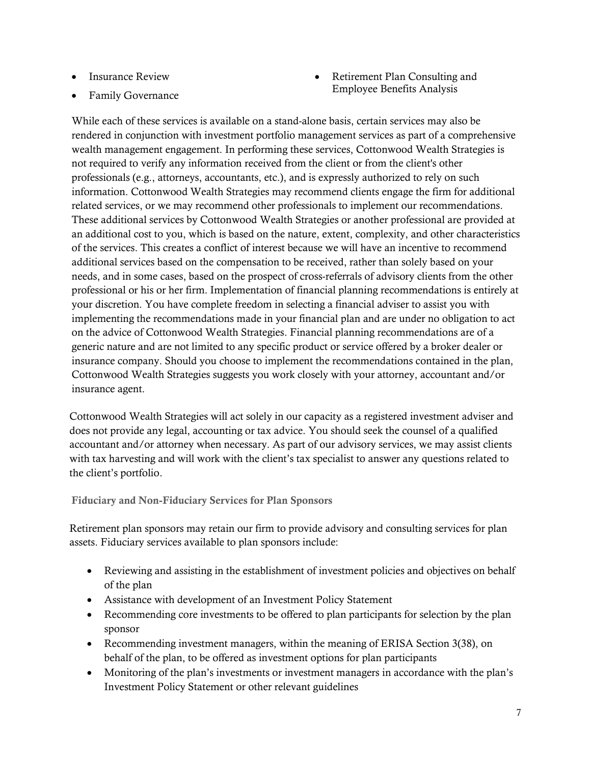- Insurance Review
- Family Governance

• Retirement Plan Consulting and Employee Benefits Analysis

While each of these services is available on a stand-alone basis, certain services may also be rendered in conjunction with investment portfolio management services as part of a comprehensive wealth management engagement. In performing these services, Cottonwood Wealth Strategies is not required to verify any information received from the client or from the client's other professionals (e.g., attorneys, accountants, etc.), and is expressly authorized to rely on such information. Cottonwood Wealth Strategies may recommend clients engage the firm for additional related services, or we may recommend other professionals to implement our recommendations. These additional services by Cottonwood Wealth Strategies or another professional are provided at an additional cost to you, which is based on the nature, extent, complexity, and other characteristics of the services. This creates a conflict of interest because we will have an incentive to recommend additional services based on the compensation to be received, rather than solely based on your needs, and in some cases, based on the prospect of cross-referrals of advisory clients from the other professional or his or her firm. Implementation of financial planning recommendations is entirely at your discretion. You have complete freedom in selecting a financial adviser to assist you with implementing the recommendations made in your financial plan and are under no obligation to act on the advice of Cottonwood Wealth Strategies. Financial planning recommendations are of a generic nature and are not limited to any specific product or service offered by a broker dealer or insurance company. Should you choose to implement the recommendations contained in the plan, Cottonwood Wealth Strategies suggests you work closely with your attorney, accountant and/or insurance agent.

Cottonwood Wealth Strategies will act solely in our capacity as a registered investment adviser and does not provide any legal, accounting or tax advice. You should seek the counsel of a qualified accountant and/or attorney when necessary. As part of our advisory services, we may assist clients with tax harvesting and will work with the client's tax specialist to answer any questions related to the client's portfolio.

Fiduciary and Non-Fiduciary Services for Plan Sponsors

Retirement plan sponsors may retain our firm to provide advisory and consulting services for plan assets. Fiduciary services available to plan sponsors include:

- Reviewing and assisting in the establishment of investment policies and objectives on behalf of the plan
- Assistance with development of an Investment Policy Statement
- Recommending core investments to be offered to plan participants for selection by the plan sponsor
- Recommending investment managers, within the meaning of ERISA Section 3(38), on behalf of the plan, to be offered as investment options for plan participants
- Monitoring of the plan's investments or investment managers in accordance with the plan's Investment Policy Statement or other relevant guidelines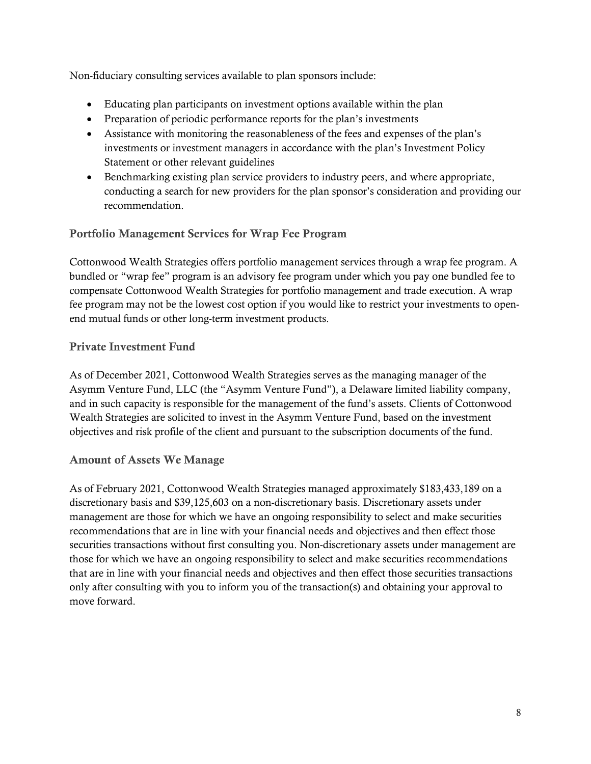Non-fiduciary consulting services available to plan sponsors include:

- Educating plan participants on investment options available within the plan
- Preparation of periodic performance reports for the plan's investments
- Assistance with monitoring the reasonableness of the fees and expenses of the plan's investments or investment managers in accordance with the plan's Investment Policy Statement or other relevant guidelines
- Benchmarking existing plan service providers to industry peers, and where appropriate, conducting a search for new providers for the plan sponsor's consideration and providing our recommendation.

## Portfolio Management Services for Wrap Fee Program

Cottonwood Wealth Strategies offers portfolio management services through a wrap fee program. A bundled or "wrap fee" program is an advisory fee program under which you pay one bundled fee to compensate Cottonwood Wealth Strategies for portfolio management and trade execution. A wrap fee program may not be the lowest cost option if you would like to restrict your investments to openend mutual funds or other long-term investment products.

## Private Investment Fund

As of December 2021, Cottonwood Wealth Strategies serves as the managing manager of the Asymm Venture Fund, LLC (the "Asymm Venture Fund"), a Delaware limited liability company, and in such capacity is responsible for the management of the fund's assets. Clients of Cottonwood Wealth Strategies are solicited to invest in the Asymm Venture Fund, based on the investment objectives and risk profile of the client and pursuant to the subscription documents of the fund.

#### Amount of Assets We Manage

As of February 2021, Cottonwood Wealth Strategies managed approximately \$183,433,189 on a discretionary basis and \$39,125,603 on a non-discretionary basis. Discretionary assets under management are those for which we have an ongoing responsibility to select and make securities recommendations that are in line with your financial needs and objectives and then effect those securities transactions without first consulting you. Non-discretionary assets under management are those for which we have an ongoing responsibility to select and make securities recommendations that are in line with your financial needs and objectives and then effect those securities transactions only after consulting with you to inform you of the transaction(s) and obtaining your approval to move forward.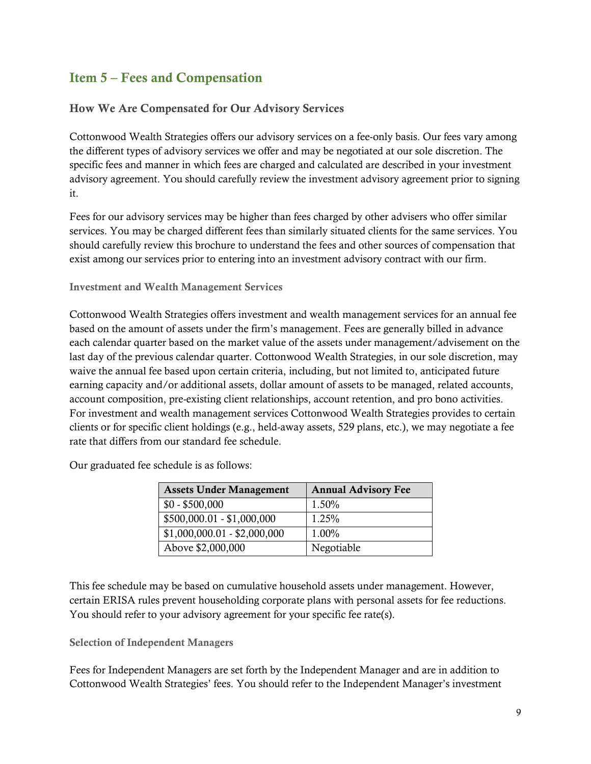# <span id="page-8-0"></span>Item 5 – Fees and Compensation

#### How We Are Compensated for Our Advisory Services

Cottonwood Wealth Strategies offers our advisory services on a fee-only basis. Our fees vary among the different types of advisory services we offer and may be negotiated at our sole discretion. The specific fees and manner in which fees are charged and calculated are described in your investment advisory agreement. You should carefully review the investment advisory agreement prior to signing it.

Fees for our advisory services may be higher than fees charged by other advisers who offer similar services. You may be charged different fees than similarly situated clients for the same services. You should carefully review this brochure to understand the fees and other sources of compensation that exist among our services prior to entering into an investment advisory contract with our firm.

#### Investment and Wealth Management Services

Cottonwood Wealth Strategies offers investment and wealth management services for an annual fee based on the amount of assets under the firm's management. Fees are generally billed in advance each calendar quarter based on the market value of the assets under management/advisement on the last day of the previous calendar quarter. Cottonwood Wealth Strategies, in our sole discretion, may waive the annual fee based upon certain criteria, including, but not limited to, anticipated future earning capacity and/or additional assets, dollar amount of assets to be managed, related accounts, account composition, pre-existing client relationships, account retention, and pro bono activities. For investment and wealth management services Cottonwood Wealth Strategies provides to certain clients or for specific client holdings (e.g., held-away assets, 529 plans, etc.), we may negotiate a fee rate that differs from our standard fee schedule.

Our graduated fee schedule is as follows:

| <b>Assets Under Management</b> | <b>Annual Advisory Fee</b> |
|--------------------------------|----------------------------|
| $$0 - $500,000$                | 1.50%                      |
| $$500,000.01 - $1,000,000$     | 1.25%                      |
| $$1,000,000.01 - $2,000,000$   | 1.00%                      |
| Above \$2,000,000              | Negotiable                 |

This fee schedule may be based on cumulative household assets under management. However, certain ERISA rules prevent householding corporate plans with personal assets for fee reductions. You should refer to your advisory agreement for your specific fee rate(s).

#### Selection of Independent Managers

Fees for Independent Managers are set forth by the Independent Manager and are in addition to Cottonwood Wealth Strategies' fees. You should refer to the Independent Manager's investment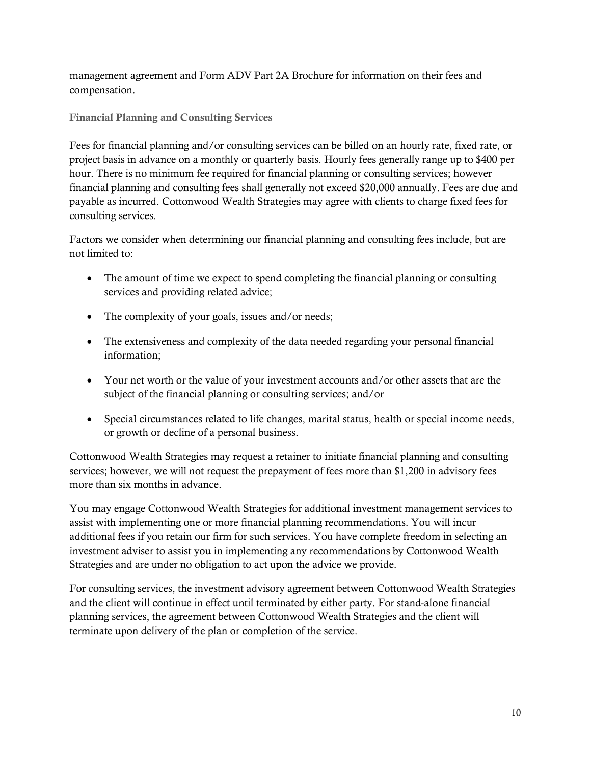management agreement and Form ADV Part 2A Brochure for information on their fees and compensation.

Financial Planning and Consulting Services

Fees for financial planning and/or consulting services can be billed on an hourly rate, fixed rate, or project basis in advance on a monthly or quarterly basis. Hourly fees generally range up to \$400 per hour. There is no minimum fee required for financial planning or consulting services; however financial planning and consulting fees shall generally not exceed \$20,000 annually. Fees are due and payable as incurred. Cottonwood Wealth Strategies may agree with clients to charge fixed fees for consulting services.

Factors we consider when determining our financial planning and consulting fees include, but are not limited to:

- The amount of time we expect to spend completing the financial planning or consulting services and providing related advice;
- The complexity of your goals, issues and/or needs;
- The extensiveness and complexity of the data needed regarding your personal financial information;
- Your net worth or the value of your investment accounts and/or other assets that are the subject of the financial planning or consulting services; and/or
- Special circumstances related to life changes, marital status, health or special income needs, or growth or decline of a personal business.

Cottonwood Wealth Strategies may request a retainer to initiate financial planning and consulting services; however, we will not request the prepayment of fees more than \$1,200 in advisory fees more than six months in advance.

You may engage Cottonwood Wealth Strategies for additional investment management services to assist with implementing one or more financial planning recommendations. You will incur additional fees if you retain our firm for such services. You have complete freedom in selecting an investment adviser to assist you in implementing any recommendations by Cottonwood Wealth Strategies and are under no obligation to act upon the advice we provide.

For consulting services, the investment advisory agreement between Cottonwood Wealth Strategies and the client will continue in effect until terminated by either party. For stand-alone financial planning services, the agreement between Cottonwood Wealth Strategies and the client will terminate upon delivery of the plan or completion of the service.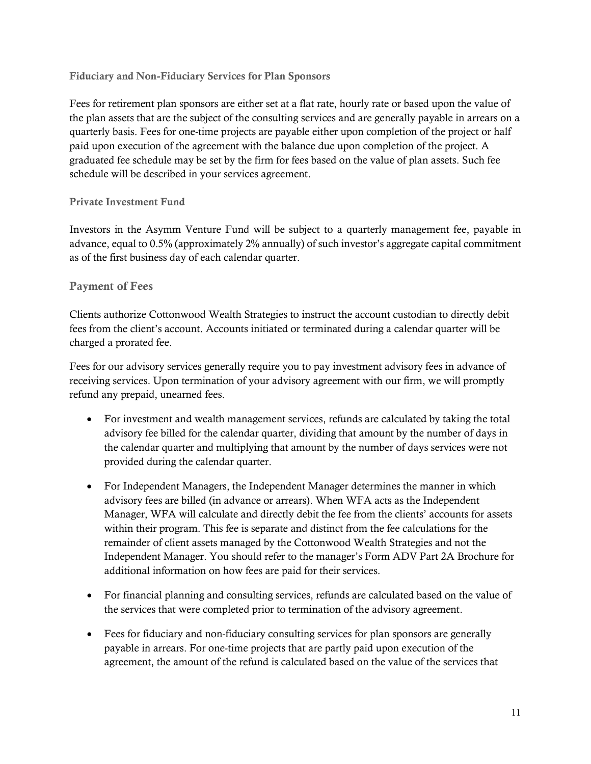#### Fiduciary and Non-Fiduciary Services for Plan Sponsors

Fees for retirement plan sponsors are either set at a flat rate, hourly rate or based upon the value of the plan assets that are the subject of the consulting services and are generally payable in arrears on a quarterly basis. Fees for one-time projects are payable either upon completion of the project or half paid upon execution of the agreement with the balance due upon completion of the project. A graduated fee schedule may be set by the firm for fees based on the value of plan assets. Such fee schedule will be described in your services agreement.

#### Private Investment Fund

Investors in the Asymm Venture Fund will be subject to a quarterly management fee, payable in advance, equal to 0.5% (approximately 2% annually) of such investor's aggregate capital commitment as of the first business day of each calendar quarter.

#### Payment of Fees

Clients authorize Cottonwood Wealth Strategies to instruct the account custodian to directly debit fees from the client's account. Accounts initiated or terminated during a calendar quarter will be charged a prorated fee.

Fees for our advisory services generally require you to pay investment advisory fees in advance of receiving services. Upon termination of your advisory agreement with our firm, we will promptly refund any prepaid, unearned fees.

- For investment and wealth management services, refunds are calculated by taking the total advisory fee billed for the calendar quarter, dividing that amount by the number of days in the calendar quarter and multiplying that amount by the number of days services were not provided during the calendar quarter.
- For Independent Managers, the Independent Manager determines the manner in which advisory fees are billed (in advance or arrears). When WFA acts as the Independent Manager, WFA will calculate and directly debit the fee from the clients' accounts for assets within their program. This fee is separate and distinct from the fee calculations for the remainder of client assets managed by the Cottonwood Wealth Strategies and not the Independent Manager. You should refer to the manager's Form ADV Part 2A Brochure for additional information on how fees are paid for their services.
- For financial planning and consulting services, refunds are calculated based on the value of the services that were completed prior to termination of the advisory agreement.
- Fees for fiduciary and non-fiduciary consulting services for plan sponsors are generally payable in arrears. For one-time projects that are partly paid upon execution of the agreement, the amount of the refund is calculated based on the value of the services that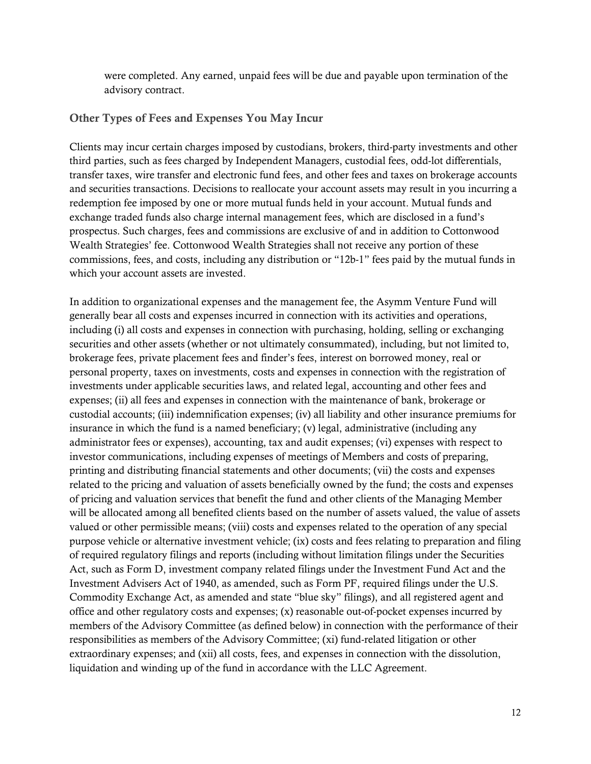were completed. Any earned, unpaid fees will be due and payable upon termination of the advisory contract.

#### Other Types of Fees and Expenses You May Incur

Clients may incur certain charges imposed by custodians, brokers, third-party investments and other third parties, such as fees charged by Independent Managers, custodial fees, odd-lot differentials, transfer taxes, wire transfer and electronic fund fees, and other fees and taxes on brokerage accounts and securities transactions. Decisions to reallocate your account assets may result in you incurring a redemption fee imposed by one or more mutual funds held in your account. Mutual funds and exchange traded funds also charge internal management fees, which are disclosed in a fund's prospectus. Such charges, fees and commissions are exclusive of and in addition to Cottonwood Wealth Strategies' fee. Cottonwood Wealth Strategies shall not receive any portion of these commissions, fees, and costs, including any distribution or "12b-1" fees paid by the mutual funds in which your account assets are invested.

In addition to organizational expenses and the management fee, the Asymm Venture Fund will generally bear all costs and expenses incurred in connection with its activities and operations, including (i) all costs and expenses in connection with purchasing, holding, selling or exchanging securities and other assets (whether or not ultimately consummated), including, but not limited to, brokerage fees, private placement fees and finder's fees, interest on borrowed money, real or personal property, taxes on investments, costs and expenses in connection with the registration of investments under applicable securities laws, and related legal, accounting and other fees and expenses; (ii) all fees and expenses in connection with the maintenance of bank, brokerage or custodial accounts; (iii) indemnification expenses; (iv) all liability and other insurance premiums for insurance in which the fund is a named beneficiary; (v) legal, administrative (including any administrator fees or expenses), accounting, tax and audit expenses; (vi) expenses with respect to investor communications, including expenses of meetings of Members and costs of preparing, printing and distributing financial statements and other documents; (vii) the costs and expenses related to the pricing and valuation of assets beneficially owned by the fund; the costs and expenses of pricing and valuation services that benefit the fund and other clients of the Managing Member will be allocated among all benefited clients based on the number of assets valued, the value of assets valued or other permissible means; (viii) costs and expenses related to the operation of any special purpose vehicle or alternative investment vehicle; (ix) costs and fees relating to preparation and filing of required regulatory filings and reports (including without limitation filings under the Securities Act, such as Form D, investment company related filings under the Investment Fund Act and the Investment Advisers Act of 1940, as amended, such as Form PF, required filings under the U.S. Commodity Exchange Act, as amended and state "blue sky" filings), and all registered agent and office and other regulatory costs and expenses; (x) reasonable out-of-pocket expenses incurred by members of the Advisory Committee (as defined below) in connection with the performance of their responsibilities as members of the Advisory Committee; (xi) fund-related litigation or other extraordinary expenses; and (xii) all costs, fees, and expenses in connection with the dissolution, liquidation and winding up of the fund in accordance with the LLC Agreement.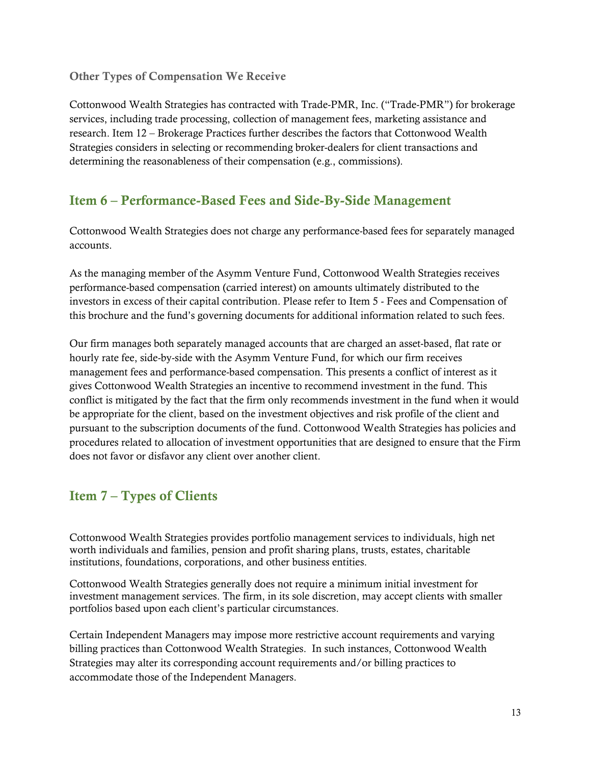#### Other Types of Compensation We Receive

Cottonwood Wealth Strategies has contracted with Trade-PMR, Inc. ("Trade-PMR") for brokerage services, including trade processing, collection of management fees, marketing assistance and research. Item 12 – Brokerage Practices further describes the factors that Cottonwood Wealth Strategies considers in selecting or recommending broker-dealers for client transactions and determining the reasonableness of their compensation (e.g., commissions).

## <span id="page-12-0"></span>Item 6 – Performance-Based Fees and Side-By-Side Management

Cottonwood Wealth Strategies does not charge any performance-based fees for separately managed accounts.

As the managing member of the Asymm Venture Fund, Cottonwood Wealth Strategies receives performance-based compensation (carried interest) on amounts ultimately distributed to the investors in excess of their capital contribution. Please refer to Item 5 - Fees and Compensation of this brochure and the fund's governing documents for additional information related to such fees.

Our firm manages both separately managed accounts that are charged an asset-based, flat rate or hourly rate fee, side-by-side with the Asymm Venture Fund, for which our firm receives management fees and performance-based compensation. This presents a conflict of interest as it gives Cottonwood Wealth Strategies an incentive to recommend investment in the fund. This conflict is mitigated by the fact that the firm only recommends investment in the fund when it would be appropriate for the client, based on the investment objectives and risk profile of the client and pursuant to the subscription documents of the fund. Cottonwood Wealth Strategies has policies and procedures related to allocation of investment opportunities that are designed to ensure that the Firm does not favor or disfavor any client over another client.

# <span id="page-12-1"></span>Item 7 – Types of Clients

Cottonwood Wealth Strategies provides portfolio management services to individuals, high net worth individuals and families, pension and profit sharing plans, trusts, estates, charitable institutions, foundations, corporations, and other business entities.

Cottonwood Wealth Strategies generally does not require a minimum initial investment for investment management services. The firm, in its sole discretion, may accept clients with smaller portfolios based upon each client's particular circumstances.

Certain Independent Managers may impose more restrictive account requirements and varying billing practices than Cottonwood Wealth Strategies. In such instances, Cottonwood Wealth Strategies may alter its corresponding account requirements and/or billing practices to accommodate those of the Independent Managers.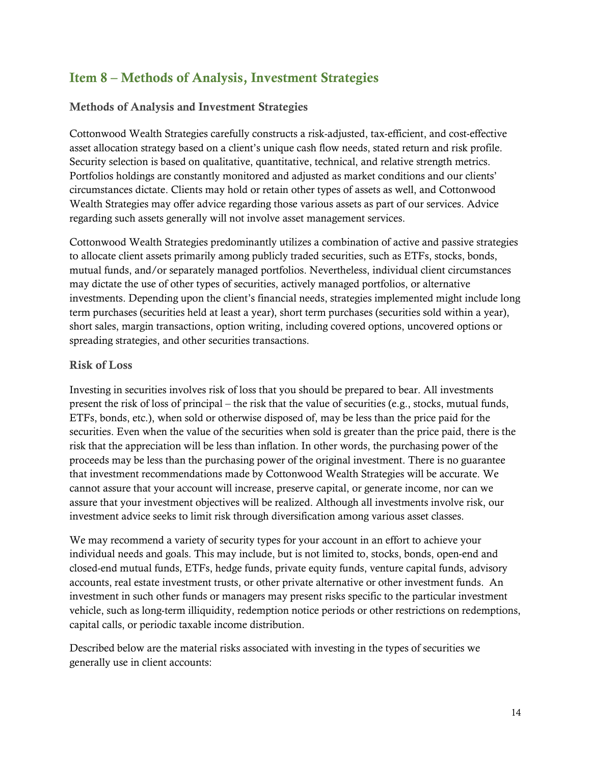# <span id="page-13-0"></span>Item 8 – Methods of Analysis, Investment Strategies

## Methods of Analysis and Investment Strategies

Cottonwood Wealth Strategies carefully constructs a risk-adjusted, tax-efficient, and cost-effective asset allocation strategy based on a client's unique cash flow needs, stated return and risk profile. Security selection is based on qualitative, quantitative, technical, and relative strength metrics. Portfolios holdings are constantly monitored and adjusted as market conditions and our clients' circumstances dictate. Clients may hold or retain other types of assets as well, and Cottonwood Wealth Strategies may offer advice regarding those various assets as part of our services. Advice regarding such assets generally will not involve asset management services.

Cottonwood Wealth Strategies predominantly utilizes a combination of active and passive strategies to allocate client assets primarily among publicly traded securities, such as ETFs, stocks, bonds, mutual funds, and/or separately managed portfolios. Nevertheless, individual client circumstances may dictate the use of other types of securities, actively managed portfolios, or alternative investments. Depending upon the client's financial needs, strategies implemented might include long term purchases (securities held at least a year), short term purchases (securities sold within a year), short sales, margin transactions, option writing, including covered options, uncovered options or spreading strategies, and other securities transactions.

#### Risk of Loss

Investing in securities involves risk of loss that you should be prepared to bear. All investments present the risk of loss of principal – the risk that the value of securities (e.g., stocks, mutual funds, ETFs, bonds, etc.), when sold or otherwise disposed of, may be less than the price paid for the securities. Even when the value of the securities when sold is greater than the price paid, there is the risk that the appreciation will be less than inflation. In other words, the purchasing power of the proceeds may be less than the purchasing power of the original investment. There is no guarantee that investment recommendations made by Cottonwood Wealth Strategies will be accurate. We cannot assure that your account will increase, preserve capital, or generate income, nor can we assure that your investment objectives will be realized. Although all investments involve risk, our investment advice seeks to limit risk through diversification among various asset classes.

We may recommend a variety of security types for your account in an effort to achieve your individual needs and goals. This may include, but is not limited to, stocks, bonds, open-end and closed-end mutual funds, ETFs, hedge funds, private equity funds, venture capital funds, advisory accounts, real estate investment trusts, or other private alternative or other investment funds. An investment in such other funds or managers may present risks specific to the particular investment vehicle, such as long-term illiquidity, redemption notice periods or other restrictions on redemptions, capital calls, or periodic taxable income distribution.

Described below are the material risks associated with investing in the types of securities we generally use in client accounts: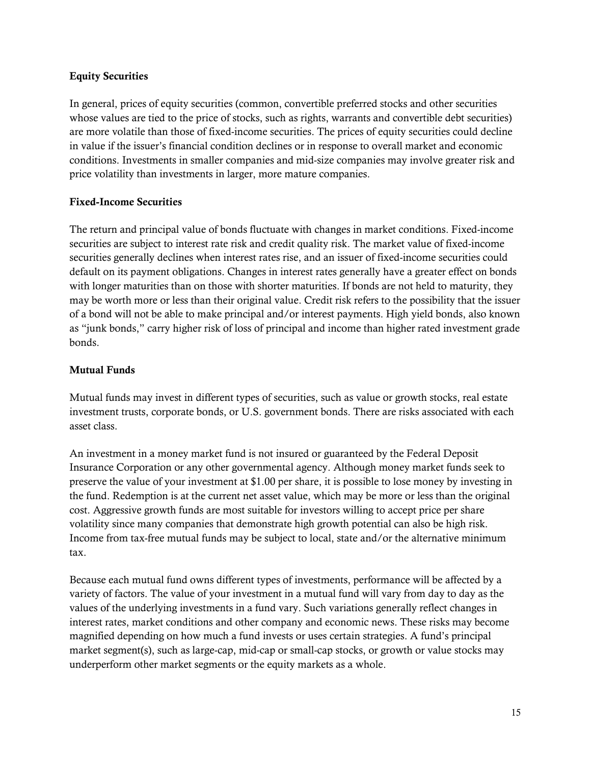#### Equity Securities

In general, prices of equity securities (common, convertible preferred stocks and other securities whose values are tied to the price of stocks, such as rights, warrants and convertible debt securities) are more volatile than those of fixed-income securities. The prices of equity securities could decline in value if the issuer's financial condition declines or in response to overall market and economic conditions. Investments in smaller companies and mid-size companies may involve greater risk and price volatility than investments in larger, more mature companies.

#### Fixed-Income Securities

The return and principal value of bonds fluctuate with changes in market conditions. Fixed-income securities are subject to interest rate risk and credit quality risk. The market value of fixed-income securities generally declines when interest rates rise, and an issuer of fixed-income securities could default on its payment obligations. Changes in interest rates generally have a greater effect on bonds with longer maturities than on those with shorter maturities. If bonds are not held to maturity, they may be worth more or less than their original value. Credit risk refers to the possibility that the issuer of a bond will not be able to make principal and/or interest payments. High yield bonds, also known as "junk bonds," carry higher risk of loss of principal and income than higher rated investment grade bonds.

#### Mutual Funds

Mutual funds may invest in different types of securities, such as value or growth stocks, real estate investment trusts, corporate bonds, or U.S. government bonds. There are risks associated with each asset class.

An investment in a money market fund is not insured or guaranteed by the Federal Deposit Insurance Corporation or any other governmental agency. Although money market funds seek to preserve the value of your investment at \$1.00 per share, it is possible to lose money by investing in the fund. Redemption is at the current net asset value, which may be more or less than the original cost. Aggressive growth funds are most suitable for investors willing to accept price per share volatility since many companies that demonstrate high growth potential can also be high risk. Income from tax-free mutual funds may be subject to local, state and/or the alternative minimum tax.

Because each mutual fund owns different types of investments, performance will be affected by a variety of factors. The value of your investment in a mutual fund will vary from day to day as the values of the underlying investments in a fund vary. Such variations generally reflect changes in interest rates, market conditions and other company and economic news. These risks may become magnified depending on how much a fund invests or uses certain strategies. A fund's principal market segment(s), such as large-cap, mid-cap or small-cap stocks, or growth or value stocks may underperform other market segments or the equity markets as a whole.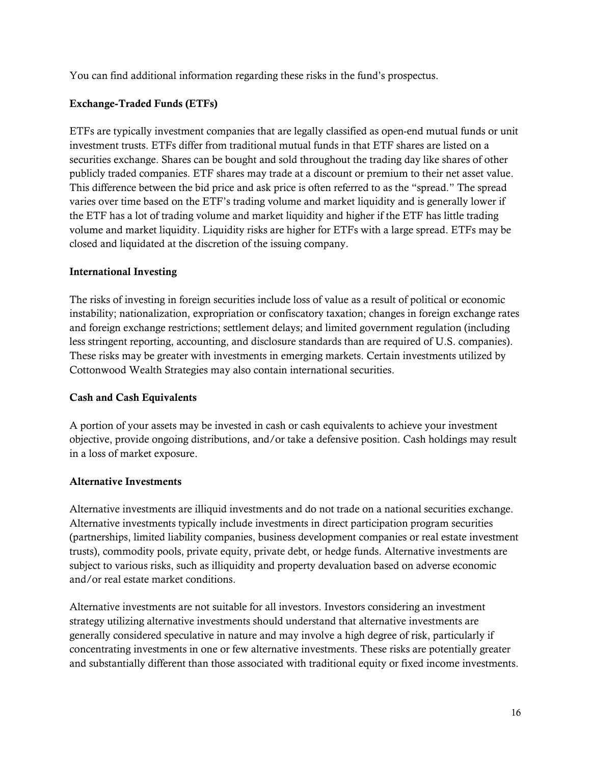You can find additional information regarding these risks in the fund's prospectus.

## Exchange-Traded Funds (ETFs)

ETFs are typically investment companies that are legally classified as open-end mutual funds or unit investment trusts. ETFs differ from traditional mutual funds in that ETF shares are listed on a securities exchange. Shares can be bought and sold throughout the trading day like shares of other publicly traded companies. ETF shares may trade at a discount or premium to their net asset value. This difference between the bid price and ask price is often referred to as the "spread." The spread varies over time based on the ETF's trading volume and market liquidity and is generally lower if the ETF has a lot of trading volume and market liquidity and higher if the ETF has little trading volume and market liquidity. Liquidity risks are higher for ETFs with a large spread. ETFs may be closed and liquidated at the discretion of the issuing company.

#### International Investing

The risks of investing in foreign securities include loss of value as a result of political or economic instability; nationalization, expropriation or confiscatory taxation; changes in foreign exchange rates and foreign exchange restrictions; settlement delays; and limited government regulation (including less stringent reporting, accounting, and disclosure standards than are required of U.S. companies). These risks may be greater with investments in emerging markets. Certain investments utilized by Cottonwood Wealth Strategies may also contain international securities.

#### Cash and Cash Equivalents

A portion of your assets may be invested in cash or cash equivalents to achieve your investment objective, provide ongoing distributions, and/or take a defensive position. Cash holdings may result in a loss of market exposure.

#### Alternative Investments

Alternative investments are illiquid investments and do not trade on a national securities exchange. Alternative investments typically include investments in direct participation program securities (partnerships, limited liability companies, business development companies or real estate investment trusts), commodity pools, private equity, private debt, or hedge funds. Alternative investments are subject to various risks, such as illiquidity and property devaluation based on adverse economic and/or real estate market conditions.

Alternative investments are not suitable for all investors. Investors considering an investment strategy utilizing alternative investments should understand that alternative investments are generally considered speculative in nature and may involve a high degree of risk, particularly if concentrating investments in one or few alternative investments. These risks are potentially greater and substantially different than those associated with traditional equity or fixed income investments.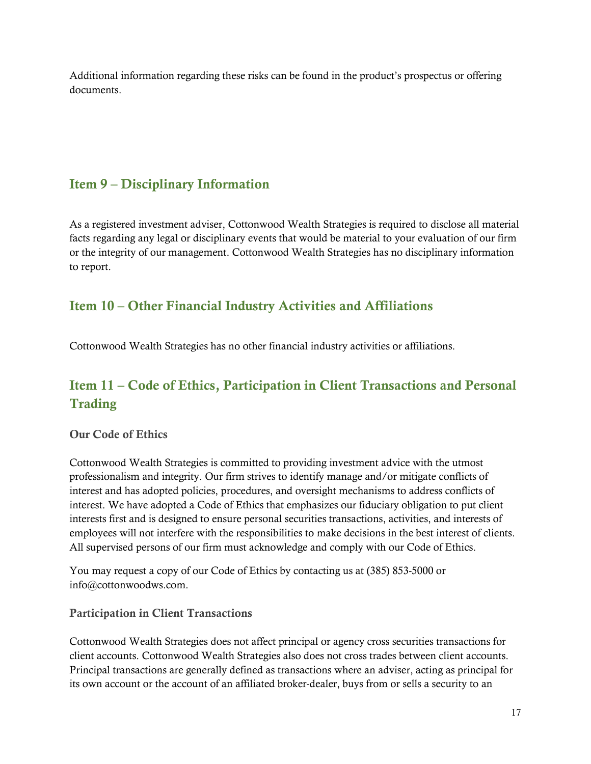Additional information regarding these risks can be found in the product's prospectus or offering documents.

# <span id="page-16-0"></span>Item 9 – Disciplinary Information

As a registered investment adviser, Cottonwood Wealth Strategies is required to disclose all material facts regarding any legal or disciplinary events that would be material to your evaluation of our firm or the integrity of our management. Cottonwood Wealth Strategies has no disciplinary information to report.

# <span id="page-16-1"></span>Item 10 – Other Financial Industry Activities and Affiliations

Cottonwood Wealth Strategies has no other financial industry activities or affiliations.

# <span id="page-16-2"></span>Item 11 – Code of Ethics, Participation in Client Transactions and Personal **Trading**

#### Our Code of Ethics

Cottonwood Wealth Strategies is committed to providing investment advice with the utmost professionalism and integrity. Our firm strives to identify manage and/or mitigate conflicts of interest and has adopted policies, procedures, and oversight mechanisms to address conflicts of interest. We have adopted a Code of Ethics that emphasizes our fiduciary obligation to put client interests first and is designed to ensure personal securities transactions, activities, and interests of employees will not interfere with the responsibilities to make decisions in the best interest of clients. All supervised persons of our firm must acknowledge and comply with our Code of Ethics.

You may request a copy of our Code of Ethics by contacting us at (385) 853-5000 or info@cottonwoodws.com.

#### Participation in Client Transactions

Cottonwood Wealth Strategies does not affect principal or agency cross securities transactions for client accounts. Cottonwood Wealth Strategies also does not cross trades between client accounts. Principal transactions are generally defined as transactions where an adviser, acting as principal for its own account or the account of an affiliated broker-dealer, buys from or sells a security to an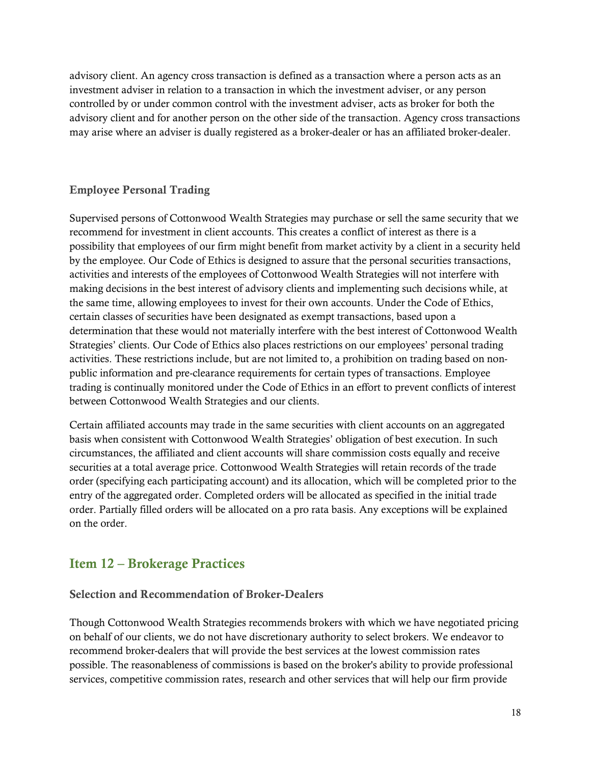advisory client. An agency cross transaction is defined as a transaction where a person acts as an investment adviser in relation to a transaction in which the investment adviser, or any person controlled by or under common control with the investment adviser, acts as broker for both the advisory client and for another person on the other side of the transaction. Agency cross transactions may arise where an adviser is dually registered as a broker-dealer or has an affiliated broker-dealer.

## Employee Personal Trading

Supervised persons of Cottonwood Wealth Strategies may purchase or sell the same security that we recommend for investment in client accounts. This creates a conflict of interest as there is a possibility that employees of our firm might benefit from market activity by a client in a security held by the employee. Our Code of Ethics is designed to assure that the personal securities transactions, activities and interests of the employees of Cottonwood Wealth Strategies will not interfere with making decisions in the best interest of advisory clients and implementing such decisions while, at the same time, allowing employees to invest for their own accounts. Under the Code of Ethics, certain classes of securities have been designated as exempt transactions, based upon a determination that these would not materially interfere with the best interest of Cottonwood Wealth Strategies' clients. Our Code of Ethics also places restrictions on our employees' personal trading activities. These restrictions include, but are not limited to, a prohibition on trading based on nonpublic information and pre-clearance requirements for certain types of transactions. Employee trading is continually monitored under the Code of Ethics in an effort to prevent conflicts of interest between Cottonwood Wealth Strategies and our clients.

Certain affiliated accounts may trade in the same securities with client accounts on an aggregated basis when consistent with Cottonwood Wealth Strategies' obligation of best execution. In such circumstances, the affiliated and client accounts will share commission costs equally and receive securities at a total average price. Cottonwood Wealth Strategies will retain records of the trade order (specifying each participating account) and its allocation, which will be completed prior to the entry of the aggregated order. Completed orders will be allocated as specified in the initial trade order. Partially filled orders will be allocated on a pro rata basis. Any exceptions will be explained on the order.

## <span id="page-17-0"></span>Item 12 – Brokerage Practices

#### Selection and Recommendation of Broker-Dealers

Though Cottonwood Wealth Strategies recommends brokers with which we have negotiated pricing on behalf of our clients, we do not have discretionary authority to select brokers. We endeavor to recommend broker-dealers that will provide the best services at the lowest commission rates possible. The reasonableness of commissions is based on the broker's ability to provide professional services, competitive commission rates, research and other services that will help our firm provide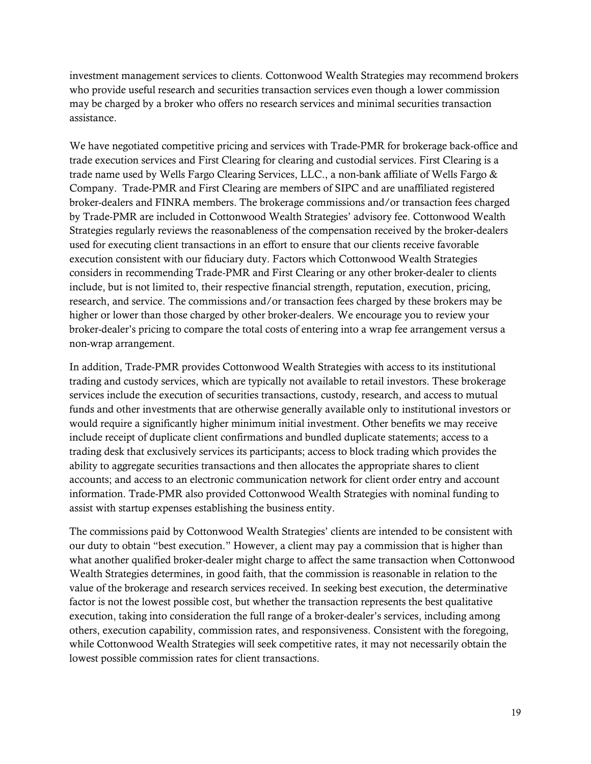investment management services to clients. Cottonwood Wealth Strategies may recommend brokers who provide useful research and securities transaction services even though a lower commission may be charged by a broker who offers no research services and minimal securities transaction assistance.

We have negotiated competitive pricing and services with Trade-PMR for brokerage back-office and trade execution services and First Clearing for clearing and custodial services. First Clearing is a trade name used by Wells Fargo Clearing Services, LLC., a non-bank affiliate of Wells Fargo & Company. Trade-PMR and First Clearing are members of SIPC and are unaffiliated registered broker-dealers and FINRA members. The brokerage commissions and/or transaction fees charged by Trade-PMR are included in Cottonwood Wealth Strategies' advisory fee. Cottonwood Wealth Strategies regularly reviews the reasonableness of the compensation received by the broker-dealers used for executing client transactions in an effort to ensure that our clients receive favorable execution consistent with our fiduciary duty. Factors which Cottonwood Wealth Strategies considers in recommending Trade-PMR and First Clearing or any other broker-dealer to clients include, but is not limited to, their respective financial strength, reputation, execution, pricing, research, and service. The commissions and/or transaction fees charged by these brokers may be higher or lower than those charged by other broker-dealers. We encourage you to review your broker-dealer's pricing to compare the total costs of entering into a wrap fee arrangement versus a non-wrap arrangement.

In addition, Trade-PMR provides Cottonwood Wealth Strategies with access to its institutional trading and custody services, which are typically not available to retail investors. These brokerage services include the execution of securities transactions, custody, research, and access to mutual funds and other investments that are otherwise generally available only to institutional investors or would require a significantly higher minimum initial investment. Other benefits we may receive include receipt of duplicate client confirmations and bundled duplicate statements; access to a trading desk that exclusively services its participants; access to block trading which provides the ability to aggregate securities transactions and then allocates the appropriate shares to client accounts; and access to an electronic communication network for client order entry and account information. Trade-PMR also provided Cottonwood Wealth Strategies with nominal funding to assist with startup expenses establishing the business entity.

The commissions paid by Cottonwood Wealth Strategies' clients are intended to be consistent with our duty to obtain "best execution." However, a client may pay a commission that is higher than what another qualified broker-dealer might charge to affect the same transaction when Cottonwood Wealth Strategies determines, in good faith, that the commission is reasonable in relation to the value of the brokerage and research services received. In seeking best execution, the determinative factor is not the lowest possible cost, but whether the transaction represents the best qualitative execution, taking into consideration the full range of a broker-dealer's services, including among others, execution capability, commission rates, and responsiveness. Consistent with the foregoing, while Cottonwood Wealth Strategies will seek competitive rates, it may not necessarily obtain the lowest possible commission rates for client transactions.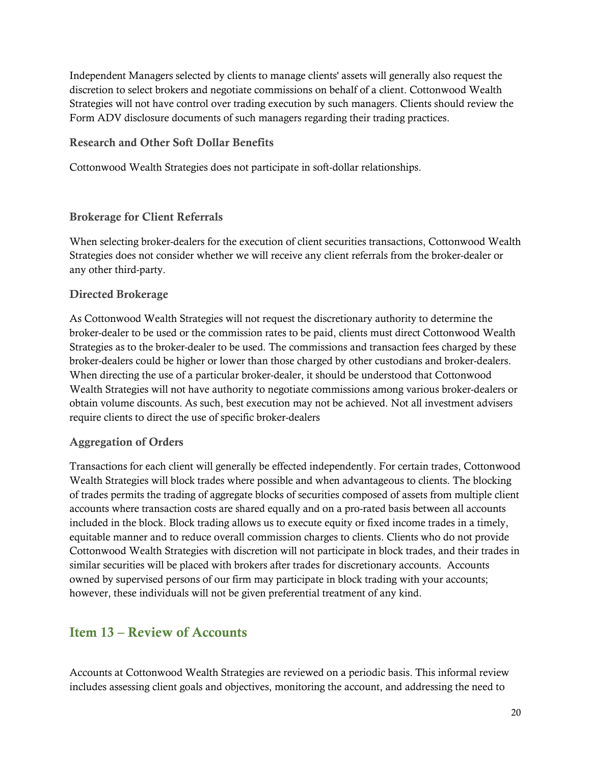Independent Managers selected by clients to manage clients' assets will generally also request the discretion to select brokers and negotiate commissions on behalf of a client. Cottonwood Wealth Strategies will not have control over trading execution by such managers. Clients should review the Form ADV disclosure documents of such managers regarding their trading practices.

#### Research and Other Soft Dollar Benefits

Cottonwood Wealth Strategies does not participate in soft-dollar relationships.

#### Brokerage for Client Referrals

When selecting broker-dealers for the execution of client securities transactions, Cottonwood Wealth Strategies does not consider whether we will receive any client referrals from the broker-dealer or any other third-party.

#### Directed Brokerage

As Cottonwood Wealth Strategies will not request the discretionary authority to determine the broker-dealer to be used or the commission rates to be paid, clients must direct Cottonwood Wealth Strategies as to the broker-dealer to be used. The commissions and transaction fees charged by these broker-dealers could be higher or lower than those charged by other custodians and broker-dealers. When directing the use of a particular broker-dealer, it should be understood that Cottonwood Wealth Strategies will not have authority to negotiate commissions among various broker-dealers or obtain volume discounts. As such, best execution may not be achieved. Not all investment advisers require clients to direct the use of specific broker-dealers

#### Aggregation of Orders

Transactions for each client will generally be effected independently. For certain trades, Cottonwood Wealth Strategies will block trades where possible and when advantageous to clients. The blocking of trades permits the trading of aggregate blocks of securities composed of assets from multiple client accounts where transaction costs are shared equally and on a pro-rated basis between all accounts included in the block. Block trading allows us to execute equity or fixed income trades in a timely, equitable manner and to reduce overall commission charges to clients. Clients who do not provide Cottonwood Wealth Strategies with discretion will not participate in block trades, and their trades in similar securities will be placed with brokers after trades for discretionary accounts. Accounts owned by supervised persons of our firm may participate in block trading with your accounts; however, these individuals will not be given preferential treatment of any kind.

## <span id="page-19-0"></span>Item 13 – Review of Accounts

Accounts at Cottonwood Wealth Strategies are reviewed on a periodic basis. This informal review includes assessing client goals and objectives, monitoring the account, and addressing the need to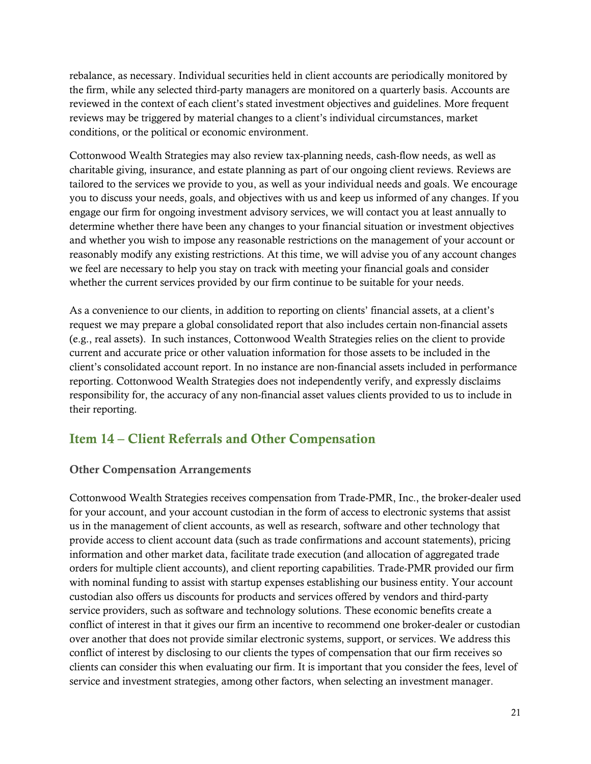rebalance, as necessary. Individual securities held in client accounts are periodically monitored by the firm, while any selected third-party managers are monitored on a quarterly basis. Accounts are reviewed in the context of each client's stated investment objectives and guidelines. More frequent reviews may be triggered by material changes to a client's individual circumstances, market conditions, or the political or economic environment.

Cottonwood Wealth Strategies may also review tax-planning needs, cash-flow needs, as well as charitable giving, insurance, and estate planning as part of our ongoing client reviews. Reviews are tailored to the services we provide to you, as well as your individual needs and goals. We encourage you to discuss your needs, goals, and objectives with us and keep us informed of any changes. If you engage our firm for ongoing investment advisory services, we will contact you at least annually to determine whether there have been any changes to your financial situation or investment objectives and whether you wish to impose any reasonable restrictions on the management of your account or reasonably modify any existing restrictions. At this time, we will advise you of any account changes we feel are necessary to help you stay on track with meeting your financial goals and consider whether the current services provided by our firm continue to be suitable for your needs.

As a convenience to our clients, in addition to reporting on clients' financial assets, at a client's request we may prepare a global consolidated report that also includes certain non-financial assets (e.g., real assets). In such instances, Cottonwood Wealth Strategies relies on the client to provide current and accurate price or other valuation information for those assets to be included in the client's consolidated account report. In no instance are non-financial assets included in performance reporting. Cottonwood Wealth Strategies does not independently verify, and expressly disclaims responsibility for, the accuracy of any non-financial asset values clients provided to us to include in their reporting.

## <span id="page-20-0"></span>Item 14 – Client Referrals and Other Compensation

#### Other Compensation Arrangements

Cottonwood Wealth Strategies receives compensation from Trade-PMR, Inc., the broker-dealer used for your account, and your account custodian in the form of access to electronic systems that assist us in the management of client accounts, as well as research, software and other technology that provide access to client account data (such as trade confirmations and account statements), pricing information and other market data, facilitate trade execution (and allocation of aggregated trade orders for multiple client accounts), and client reporting capabilities. Trade-PMR provided our firm with nominal funding to assist with startup expenses establishing our business entity. Your account custodian also offers us discounts for products and services offered by vendors and third-party service providers, such as software and technology solutions. These economic benefits create a conflict of interest in that it gives our firm an incentive to recommend one broker-dealer or custodian over another that does not provide similar electronic systems, support, or services. We address this conflict of interest by disclosing to our clients the types of compensation that our firm receives so clients can consider this when evaluating our firm. It is important that you consider the fees, level of service and investment strategies, among other factors, when selecting an investment manager.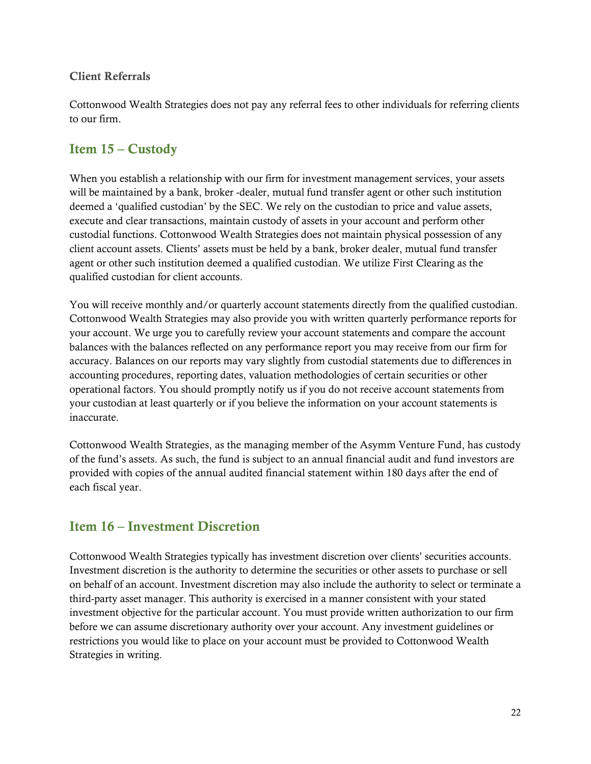#### Client Referrals

Cottonwood Wealth Strategies does not pay any referral fees to other individuals for referring clients to our firm.

## <span id="page-21-0"></span>Item 15 – Custody

When you establish a relationship with our firm for investment management services, your assets will be maintained by a bank, broker -dealer, mutual fund transfer agent or other such institution deemed a 'qualified custodian' by the SEC. We rely on the custodian to price and value assets, execute and clear transactions, maintain custody of assets in your account and perform other custodial functions. Cottonwood Wealth Strategies does not maintain physical possession of any client account assets. Clients' assets must be held by a bank, broker dealer, mutual fund transfer agent or other such institution deemed a qualified custodian. We utilize First Clearing as the qualified custodian for client accounts.

You will receive monthly and/or quarterly account statements directly from the qualified custodian. Cottonwood Wealth Strategies may also provide you with written quarterly performance reports for your account. We urge you to carefully review your account statements and compare the account balances with the balances reflected on any performance report you may receive from our firm for accuracy. Balances on our reports may vary slightly from custodial statements due to differences in accounting procedures, reporting dates, valuation methodologies of certain securities or other operational factors. You should promptly notify us if you do not receive account statements from your custodian at least quarterly or if you believe the information on your account statements is inaccurate.

Cottonwood Wealth Strategies, as the managing member of the Asymm Venture Fund, has custody of the fund's assets. As such, the fund is subject to an annual financial audit and fund investors are provided with copies of the annual audited financial statement within 180 days after the end of each fiscal year.

## <span id="page-21-1"></span>Item 16 – Investment Discretion

Cottonwood Wealth Strategies typically has investment discretion over clients' securities accounts. Investment discretion is the authority to determine the securities or other assets to purchase or sell on behalf of an account. Investment discretion may also include the authority to select or terminate a third-party asset manager. This authority is exercised in a manner consistent with your stated investment objective for the particular account. You must provide written authorization to our firm before we can assume discretionary authority over your account. Any investment guidelines or restrictions you would like to place on your account must be provided to Cottonwood Wealth Strategies in writing.